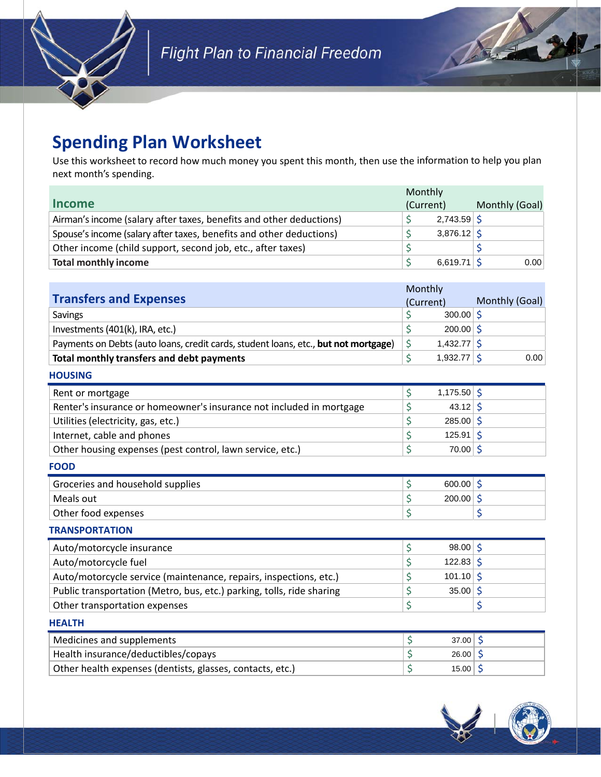

# **Spending Plan Worksheet**

Use this worksheet to record how much money you spent this month, then use the information to help you plan next month's spending.

|                                                                     | Monthly   |               |                |      |
|---------------------------------------------------------------------|-----------|---------------|----------------|------|
| <b>Income</b>                                                       | (Current) |               | Monthly (Goal) |      |
| Airman's income (salary after taxes, benefits and other deductions) |           | $2,743.59$ \$ |                |      |
| Spouse's income (salary after taxes, benefits and other deductions) |           | $3,876.12$ \$ |                |      |
| Other income (child support, second job, etc., after taxes)         |           |               |                |      |
| <b>Total monthly income</b>                                         |           | $6,619.71$ S  |                | 0.00 |

|                                                                                     | Monthly       |                |  |  |
|-------------------------------------------------------------------------------------|---------------|----------------|--|--|
| <b>Transfers and Expenses</b>                                                       | (Current)     | Monthly (Goal) |  |  |
| <b>Savings</b>                                                                      | $300.00$ \$   |                |  |  |
| Investments (401(k), IRA, etc.)                                                     | $200.00$ \$   |                |  |  |
| Payments on Debts (auto loans, credit cards, student loans, etc., but not mortgage) | $1,432.77$ \$ |                |  |  |
| Total monthly transfers and debt payments                                           | $1,932.77$ \$ | 0.00           |  |  |

#### **HOUSING** Rent or mortgage  $\vert \xi \rangle$ Renter's insurance or homeowner's insurance not included in mortgage  $\frac{1}{5}$ Utilities (electricity, gas, etc.)  $\vert \xi \rangle$ Internet, cable and phones  $\vert \xi \rangle$ Other housing expenses (pest control, lawn service, etc.)  $\vert \xi \rangle$  $1,175.50$  \$  $43.12 \, \text{S}$  $285.00$  \$  $125.91 \, \frac{\xi}{2}$ 70.00

#### **FOOD**

| 200.00<br>Meals out<br>Other food expenses | Groceries and household supplies | 600.00 |  |
|--------------------------------------------|----------------------------------|--------|--|
|                                            |                                  |        |  |
|                                            |                                  |        |  |

#### **TRANSPORTATION**

| Auto/motorcycle insurance                                             | $98.00$ \$  |  |
|-----------------------------------------------------------------------|-------------|--|
| Auto/motorcycle fuel                                                  | $122.83$ \$ |  |
| Auto/motorcycle service (maintenance, repairs, inspections, etc.)     | $101.10$ \$ |  |
| Public transportation (Metro, bus, etc.) parking, tolls, ride sharing | $35.00$ \$  |  |
| Other transportation expenses                                         |             |  |

#### **HEALTH**

| Medicines and supplements                                 | 37.00 |
|-----------------------------------------------------------|-------|
| Health insurance/deductibles/copays                       | 26.00 |
| Other health expenses (dentists, glasses, contacts, etc.) | 15.00 |